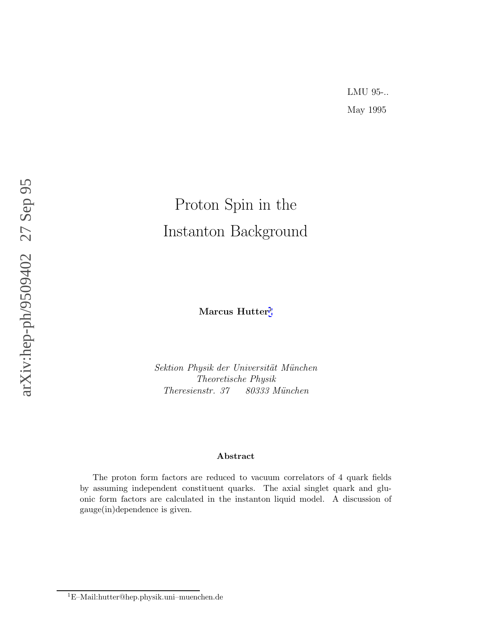# Proton Spin in the Instanton Background

**Marcus Hutter** 1

Sektion Physik der Universität München Theoretische Physik Theresienstr. 37 80333 München

#### **Abstract**

The proton form factors are reduced to vacuum correlators of 4 quark fields by assuming independent constituent quarks. The axial singlet quark and gluonic form factors are calculated in the instanton liquid model. A discussion of gauge(in)dependence is given.

<sup>1</sup>E–Mail:hutter@hep.physik.uni–muenchen.de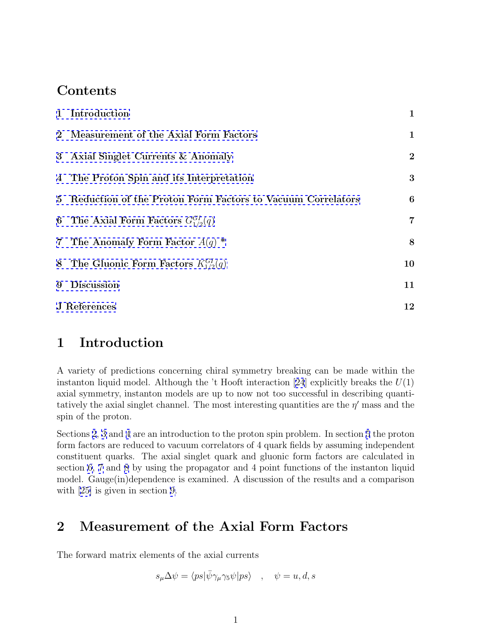### **Contents**

|              | 1 Introduction                                               | $\mathbf{1}$   |
|--------------|--------------------------------------------------------------|----------------|
|              | 2 Measurement of the Axial Form Factors                      | $\mathbf{1}$   |
|              | 3 Axial Singlet Currents & Anomaly                           | $\overline{2}$ |
|              | 4 The Proton Spin and its Interpretation                     | 3              |
|              | 5 Reduction of the Proton Form Factors to Vacuum Correlators | 6              |
|              | 6 The Axial Form Factors $G_{1/2}^{GI}(q)$                   | 7              |
|              | 7 The Anomaly Form Factor $A(q)$ *                           | 8              |
|              | 8 The Gluonic Form Factors $K_{1/2}^{GI}(q)$                 | 10             |
| 9            | <b>Discussion</b>                                            | 11             |
| J References |                                                              |                |

### **1 Introduction**

A variety of predictions concerning chiral symmetry breaking can be made within the instanton liquid model. Although the 't Hooft interaction [[24](#page-14-0)] explicitly breaks the  $U(1)$ axial symmetry, instanton models are up to now not too successful in describing quantitatively the axial singlet channel. The most interesting quantities are the  $\eta'$  mass and the spin of the proton.

Sections 2, [3](#page-2-0) and [4](#page-4-0) are an introduction to the proton spin problem. In section [5](#page-6-0) the proton form factors are reduced to vacuum correlators of 4 quark fields by assuming independent constituent quarks. The axial singlet quark and gluonic form factors are calculated in section [6](#page-8-0), [7](#page-9-0) and [8](#page-10-0) by using the propagator and 4 point functions of the instanton liquid model. Gauge(in)dependence is examined. A discussion of the results and a comparison with [[25\]](#page-14-0) is given in section [9.](#page-12-0)

### **2 Measurement of the Axial Form Factors**

The forward matrix elements of the axial currents

$$
s_\mu \Delta \psi = \langle ps | \bar{\psi} \gamma_\mu \gamma_5 \psi | ps \rangle \quad , \quad \psi = u, d, s
$$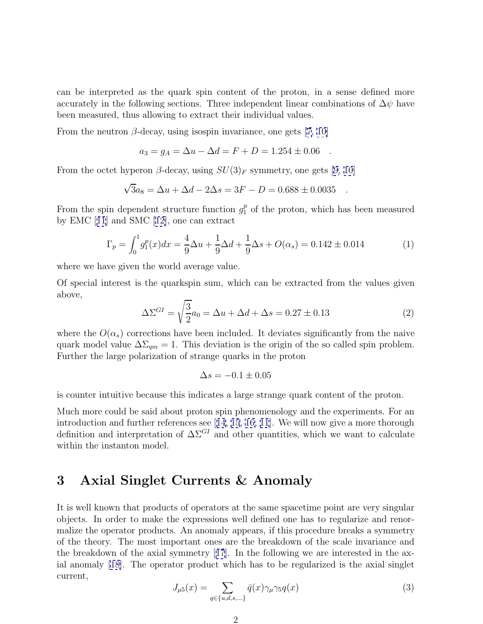<span id="page-2-0"></span>can be interpreted as the quark spin content of the proton, in a sense defined more accurately in the following sections. Three independent linear combinations of  $\Delta \psi$  have been measured, thus allowing to extract their individual values.

From the neutron  $\beta$ -decay, using isospin invariance, one gets [[7, 10\]](#page-13-0)

$$
a_3 = g_A = \Delta u - \Delta d = F + D = 1.254 \pm 0.06 .
$$

From the octet hyperon  $\beta$ -decay, using  $SU(3)_F$  symmetry, one gets [\[9, 10\]](#page-13-0)

$$
\sqrt{3}a_8 = \Delta u + \Delta d - 2\Delta s = 3F - D = 0.688 \pm 0.0035 .
$$

From the spin dependent structure function  $g_1^p$  of the proton, which has been measured by EMC [[11](#page-13-0)] and SMC [[12\]](#page-13-0), one can extract

$$
\Gamma_p = \int_0^1 g_1^p(x) dx = \frac{4}{9} \Delta u + \frac{1}{9} \Delta d + \frac{1}{9} \Delta s + O(\alpha_s) = 0.142 \pm 0.014
$$
 (1)

where we have given the world average value.

Of special interest is the quarkspin sum, which can be extracted from the values given above,

$$
\Delta \Sigma^{GI} = \sqrt{\frac{3}{2}} a_0 = \Delta u + \Delta d + \Delta s = 0.27 \pm 0.13
$$
 (2)

where the  $O(\alpha_s)$  corrections have been included. It deviates significantly from the naive quark model value  $\Delta\Sigma_{qm} = 1$ . This deviation is the origin of the so called spin problem. Further the large polarization of strange quarks in the proton

$$
\Delta s = -0.1 \pm 0.05
$$

is counter intuitive because this indicates a large strange quark content of the proton.

Much more could be said about proton spin phenomenology and the experiments. For an introduction and further references see [[14](#page-13-0), [15](#page-13-0), [16, 11](#page-13-0)]. We will now give a more thorough definition and interpretation of  $\Delta\Sigma^{GI}$  and other quantities, which we want to calculate within the instanton model.

#### **3 Axial Singlet Currents & Anomaly**

It is well known that products of operators at the same spacetime point are very singular objects. In order to make the expressions well defined one has to regularize and renormalize the operator products. An anomaly appears, if this procedure breaks a symmetry of the theory. The most important ones are the breakdown of the scale invariance and the breakdown of the axial symmetry  $|17|$  $|17|$  $|17|$ . In the following we are interested in the axial anomaly [\[18\]](#page-13-0). The operator product which has to be regularized is the axial singlet current,

$$
J_{\mu 5}(x) = \sum_{q \in \{u,d,s,\ldots\}} \bar{q}(x)\gamma_{\mu}\gamma_5 q(x) \tag{3}
$$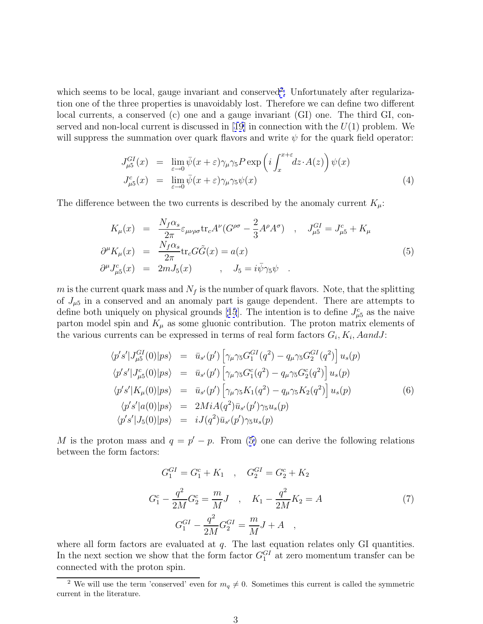<span id="page-3-0"></span>which seems to be local, gauge invariant and conserved<sup>2</sup>. Unfortunately after regularization one of the three properties is unavoidably lost. Therefore we can define two different local currents, a conserved (c) one and a gauge invariant (GI) one. The third GI, con-served and non-local current is discussed in [[19\]](#page-13-0) in connection with the  $U(1)$  problem. We will suppress the summation over quark flavors and write  $\psi$  for the quark field operator:

$$
J_{\mu 5}^{GI}(x) = \lim_{\varepsilon \to 0} \bar{\psi}(x + \varepsilon) \gamma_{\mu} \gamma_5 P \exp\left(i \int_x^{x + \varepsilon} dz \cdot A(z)\right) \psi(x)
$$
  
\n
$$
J_{\mu 5}^c(x) = \lim_{\varepsilon \to 0} \bar{\psi}(x + \varepsilon) \gamma_{\mu} \gamma_5 \psi(x)
$$
\n(4)

The difference between the two currents is described by the anomaly current  $K_{\mu}$ :

$$
K_{\mu}(x) = \frac{N_f \alpha_s}{2\pi} \varepsilon_{\mu\nu\rho\sigma} \text{tr}_c A^{\nu} (G^{\rho\sigma} - \frac{2}{3} A^{\rho} A^{\sigma}) , J_{\mu 5}^{GI} = J_{\mu 5}^c + K_{\mu}
$$
  
\n
$$
\partial^{\mu} K_{\mu}(x) = \frac{N_f \alpha_s}{2\pi} \text{tr}_c G \tilde{G}(x) = a(x)
$$
  
\n
$$
\partial^{\mu} J_{\mu 5}^c(x) = 2m J_5(x) , J_5 = i \bar{\psi} \gamma_5 \psi .
$$
\n(5)

m is the current quark mass and  $N_f$  is the number of quark flavors. Note, that the splitting of  $J_{\mu 5}$  in a conserved and an anomaly part is gauge dependent. There are attempts to define both uniquely on physical grounds [[15](#page-13-0)]. The intention is to define  $J_{\mu 5}^c$  as the naive parton model spin and  $K_{\mu}$  as some gluonic contribution. The proton matrix elements of the various currents can be expressed in terms of real form factors  $G_i, K_i, A and J$ :

$$
\langle p's'|J_{\mu 5}^{GI}(0)|ps\rangle = \bar{u}_{s'}(p') \left[\gamma_{\mu}\gamma_{5}G_{1}^{GI}(q^{2}) - q_{\mu}\gamma_{5}G_{2}^{GI}(q^{2})\right]u_{s}(p) \n\langle p's'|J_{\mu 5}^{c}(0)|ps\rangle = \bar{u}_{s'}(p') \left[\gamma_{\mu}\gamma_{5}G_{1}^{c}(q^{2}) - q_{\mu}\gamma_{5}G_{2}^{c}(q^{2})\right]u_{s}(p) \n\langle p's'|K_{\mu}(0)|ps\rangle = \bar{u}_{s'}(p') \left[\gamma_{\mu}\gamma_{5}K_{1}(q^{2}) - q_{\mu}\gamma_{5}K_{2}(q^{2})\right]u_{s}(p) \n\langle p's'|a(0)|ps\rangle = 2MiA(q^{2})\bar{u}_{s'}(p')\gamma_{5}u_{s}(p) \n\langle p's'|J_{5}(0)|ps\rangle = iJ(q^{2})\bar{u}_{s'}(p')\gamma_{5}u_{s}(p)
$$
\n(6)

M is the proton mass and  $q = p' - p$ . From (5) one can derive the following relations between the form factors:

$$
G_1^{GI} = G_1^c + K_1 \quad , \quad G_2^{GI} = G_2^c + K_2
$$
  
\n
$$
G_1^c - \frac{q^2}{2M}G_2^c = \frac{m}{M}J \quad , \quad K_1 - \frac{q^2}{2M}K_2 = A
$$
  
\n
$$
G_1^{GI} - \frac{q^2}{2M}G_2^{GI} = \frac{m}{M}J + A \quad ,
$$
\n(7)

where all form factors are evaluated at  $q$ . The last equation relates only GI quantities. In the next section we show that the form factor  $G_1^{GI}$  at zero momentum transfer can be connected with the proton spin.

<sup>&</sup>lt;sup>2</sup> We will use the term 'conserved' even for  $m_q \neq 0$ . Sometimes this current is called the symmetric current in the literature.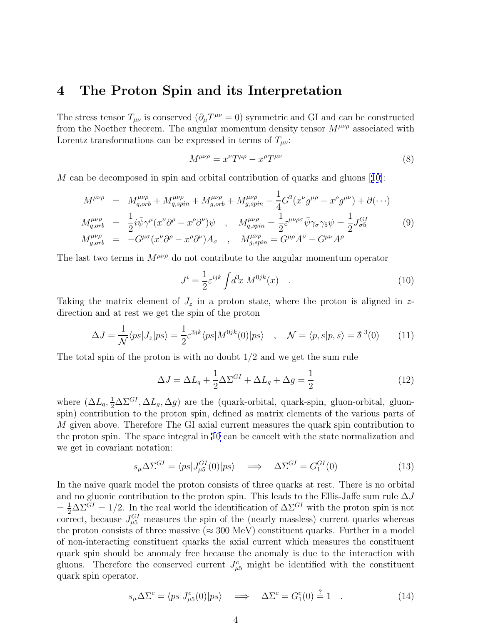#### <span id="page-4-0"></span>**4 The Proton Spin and its Interpretation**

The stress tensor  $T_{\mu\nu}$  is conserved  $(\partial_{\mu}T^{\mu\nu}=0)$  symmetric and GI and can be constructed from the Noether theorem. The angular momentum density tensor  $M^{\mu\nu\rho}$  associated with Lorentz transformations can be expressed in terms of  $T_{\mu\nu}$ :

$$
M^{\mu\nu\rho} = x^{\nu} T^{\mu\rho} - x^{\rho} T^{\mu\nu} \tag{8}
$$

M can be decomposed in spin and orbital contribution of quarks and gluons [[10](#page-13-0)]:

$$
M^{\mu\nu\rho} = M_{q,orb}^{\mu\nu\rho} + M_{q,spin}^{\mu\nu\rho} + M_{g,orb}^{\mu\nu\rho} + M_{g,spin}^{\mu\nu\rho} - \frac{1}{4} G^2 (x^{\nu} g^{\mu\rho} - x^{\rho} g^{\mu\nu}) + \partial (\cdots)
$$
  
\n
$$
M_{q,orb}^{\mu\nu\rho} = \frac{1}{2} i \bar{\psi} \gamma^{\mu} (x^{\nu} \partial^{\rho} - x^{\rho} \partial^{\nu}) \psi , \quad M_{q,spin}^{\mu\nu\rho} = \frac{1}{2} \varepsilon^{\mu\nu\rho\sigma} \bar{\psi} \gamma_{\sigma} \gamma_5 \psi = \frac{1}{2} J_{\sigma 5}^{GI}
$$
  
\n
$$
M_{g,orb}^{\mu\nu\rho} = -G^{\mu\sigma} (x^{\nu} \partial^{\rho} - x^{\rho} \partial^{\nu}) A_{\sigma} , \quad M_{g,spin}^{\mu\nu\rho} = G^{\mu\rho} A^{\nu} - G^{\mu\nu} A^{\rho}
$$
  
\n(9)

The last two terms in  $M^{\mu\nu\rho}$  do not contribute to the angular momentum operator

$$
J^i = \frac{1}{2} \varepsilon^{ijk} \int d^3x \ M^{0jk}(x) \quad . \tag{10}
$$

Taking the matrix element of  $J_z$  in a proton state, where the proton is aligned in zdirection and at rest we get the spin of the proton

$$
\Delta J = \frac{1}{\mathcal{N}} \langle ps | J_z | ps \rangle = \frac{1}{2} \varepsilon^{3jk} \langle ps | M^{0jk}(0) | ps \rangle \quad , \quad \mathcal{N} = \langle p, s | p, s \rangle = \delta^{3}(0) \tag{11}
$$

The total spin of the proton is with no doubt  $1/2$  and we get the sum rule

$$
\Delta J = \Delta L_q + \frac{1}{2} \Delta \Sigma^{GI} + \Delta L_g + \Delta g = \frac{1}{2}
$$
\n(12)

where  $(\Delta L_q, \frac{1}{2} \Delta \Sigma^{GI}, \Delta L_g, \Delta g)$  are the (quark-orbital, quark-spin, gluon-orbital, gluonspin) contribution to the proton spin, defined as matrix elements of the various parts of M given above. Therefore The GI axial current measures the quark spin contribution to the proton spin. The space integral in 10 can be cancelt with the state normalization and we get in covariant notation:

$$
s_{\mu} \Delta \Sigma^{GI} = \langle ps | J_{\mu 5}^{GI}(0) | ps \rangle \quad \Longrightarrow \quad \Delta \Sigma^{GI} = G_1^{GI}(0) \tag{13}
$$

In the naive quark model the proton consists of three quarks at rest. There is no orbital and no gluonic contribution to the proton spin. This leads to the Ellis-Jaffe sum rule  $\Delta J$  $=\frac{1}{2}\Delta\Sigma^{GI} = 1/2$ . In the real world the identification of  $\Delta\Sigma^{GI}$  with the proton spin is not correct, because  $J_{\mu 5}^{GI}$  measures the spin of the (nearly massless) current quarks whereas the proton consists of three massive ( $\approx 300 \text{ MeV}$ ) constituent quarks. Further in a model of non-interacting constituent quarks the axial current which measures the constituent quark spin should be anomaly free because the anomaly is due to the interaction with gluons. Therefore the conserved current  $J_{\mu 5}^c$  might be identified with the constituent quark spin operator.

$$
s_{\mu} \Delta \Sigma^{c} = \langle ps | J^{c}_{\mu 5}(0) | ps \rangle \quad \Longrightarrow \quad \Delta \Sigma^{c} = G_{1}^{c}(0) \stackrel{?}{=} 1 \quad . \tag{14}
$$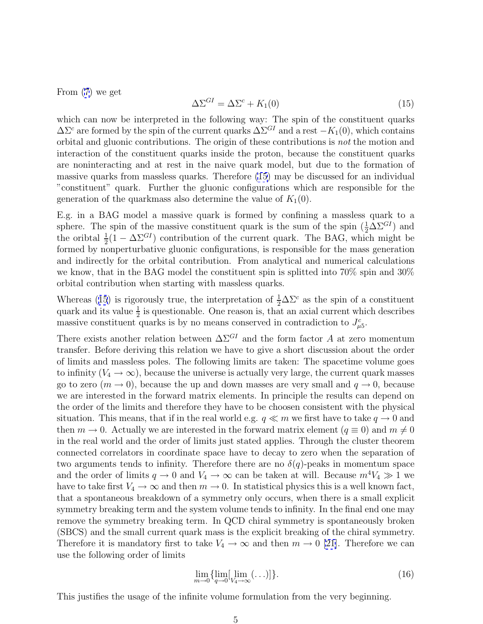<span id="page-5-0"></span>From [\(7](#page-3-0)) we get

$$
\Delta \Sigma^{GI} = \Delta \Sigma^c + K_1(0) \tag{15}
$$

which can now be interpreted in the following way: The spin of the constituent quarks  $\Delta\Sigma^c$  are formed by the spin of the current quarks  $\Delta\Sigma^{GI}$  and a rest  $-K_1(0)$ , which contains orbital and gluonic contributions. The origin of these contributions is not the motion and interaction of the constituent quarks inside the proton, because the constituent quarks are noninteracting and at rest in the naive quark model, but due to the formation of massive quarks from massless quarks. Therefore (15) may be discussed for an individual "constituent" quark. Further the gluonic configurations which are responsible for the generation of the quarkmass also determine the value of  $K_1(0)$ .

E.g. in a BAG model a massive quark is formed by confining a massless quark to a sphere. The spin of the massive constituent quark is the sum of the spin  $(\frac{1}{2} \Delta \Sigma^{GI})$  and the oribtal  $\frac{1}{2}(1 - \Delta \Sigma^{GI})$  contribution of the current quark. The BAG, which might be formed by nonperturbative gluonic configurations, is responsible for the mass generation and indirectly for the orbital contribution. From analytical and numerical calculations we know, that in the BAG model the constituent spin is splitted into 70% spin and 30% orbital contribution when starting with massless quarks.

Whereas (15) is rigorously true, the interpretation of  $\frac{1}{2}\Delta\Sigma^c$  as the spin of a constituent quark and its value  $\frac{1}{2}$  is questionable. One reason is, that an axial current which describes massive constituent quarks is by no means conserved in contradiction to  $J_{\mu 5}^c$ .

There exists another relation between  $\Delta\Sigma^{GI}$  and the form factor A at zero momentum transfer. Before deriving this relation we have to give a short discussion about the order of limits and massless poles. The following limits are taken: The spacetime volume goes to infinity  $(V_4 \to \infty)$ , because the universe is actually very large, the current quark masses go to zero  $(m \to 0)$ , because the up and down masses are very small and  $q \to 0$ , because we are interested in the forward matrix elements. In principle the results can depend on the order of the limits and therefore they have to be choosen consistent with the physical situation. This means, that if in the real world e.g.  $q \ll m$  we first have to take  $q \to 0$  and then  $m \to 0$ . Actually we are interested in the forward matrix element  $(q \equiv 0)$  and  $m \neq 0$ in the real world and the order of limits just stated applies. Through the cluster theorem connected correlators in coordinate space have to decay to zero when the separation of two arguments tends to infinity. Therefore there are no  $\delta(q)$ -peaks in momentum space and the order of limits  $q \to 0$  and  $V_4 \to \infty$  can be taken at will. Because  $m^4V_4 \gg 1$  we have to take first  $V_4 \to \infty$  and then  $m \to 0$ . In statistical physics this is a well known fact, that a spontaneous breakdown of a symmetry only occurs, when there is a small explicit symmetry breaking term and the system volume tends to infinity. In the final end one may remove the symmetry breaking term. In QCD chiral symmetry is spontaneously broken (SBCS) and the small current quark mass is the explicit breaking of the chiral symmetry. Therefore it is mandatory first to take  $V_4 \rightarrow \infty$  and then  $m \rightarrow 0$  [\[21\]](#page-13-0). Therefore we can use the following order of limits

$$
\lim_{m \to 0} \{ \lim_{q \to 0} [\lim_{V_4 \to \infty} (\dots)] \}.
$$
\n(16)

This justifies the usage of the infinite volume formulation from the very beginning.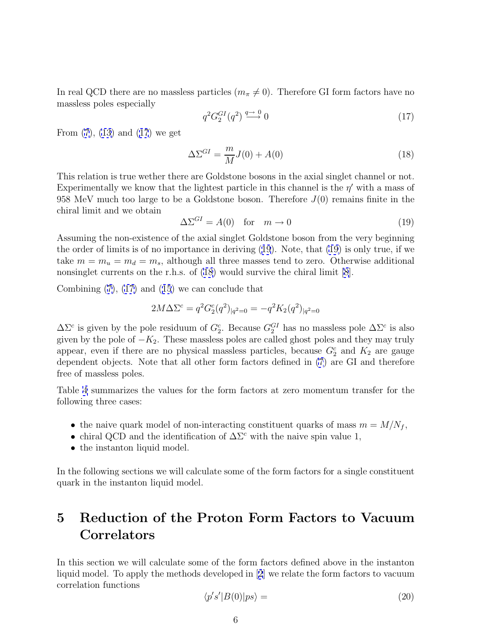<span id="page-6-0"></span>In real QCD there are no massless particles  $(m_{\pi} \neq 0)$ . Therefore GI form factors have no massless poles especially

$$
q^2 G_2^{GI}(q^2) \stackrel{q \to 0}{\longrightarrow} 0 \tag{17}
$$

From [\(7](#page-3-0)), [\(13\)](#page-4-0) and (17) we get

$$
\Delta \Sigma^{GI} = \frac{m}{M} J(0) + A(0) \tag{18}
$$

This relation is true wether there are Goldstone bosons in the axial singlet channel or not. Experimentally we know that the lightest particle in this channel is the  $\eta'$  with a mass of 958 MeV much too large to be a Goldstone boson. Therefore  $J(0)$  remains finite in the chiral limit and we obtain

$$
\Delta \Sigma^{GI} = A(0) \quad \text{for} \quad m \to 0 \tag{19}
$$

Assuming the non-existence of the axial singlet Goldstone boson from the very beginning the order of limits is of no importance in deriving (19). Note, that (19) is only true, if we take  $m = m_u = m_d = m_s$ , although all three masses tend to zero. Otherwise additional nonsinglet currents on the r.h.s. of (18) would survive the chiral limit [\[8](#page-13-0)].

Combining [\(7\)](#page-3-0), (17) and ([15](#page-5-0)) we can conclude that

$$
2M\Delta\Sigma^{c} = q^{2}G_{2}^{c}(q^{2})_{|q^{2}=0} = -q^{2}K_{2}(q^{2})_{|q^{2}=0}
$$

 $\Delta\Sigma^c$  is given by the pole residuum of  $G_2^c$ . Because  $G_2^{GI}$  has no massless pole  $\Delta\Sigma^c$  is also given by the pole of  $-K_2$ . These massless poles are called ghost poles and they may truly appear, even if there are no physical massless particles, because  $G_2^c$  and  $K_2$  are gauge dependent objects. Note that all other form factors defined in [\(7](#page-3-0)) are GI and therefore free of massless poles.

Table 4 summarizes the values for the form factors at zero momentum transfer for the following three cases:

- the naive quark model of non-interacting constituent quarks of mass  $m = M/N_f$ ,
- chiral QCD and the identification of  $\Delta\Sigma^c$  with the naive spin value 1,
- the instanton liquid model.

In the following sections we will calculate some of the form factors for a single constituent quark in the instanton liquid model.

### **5 Reduction of the Proton Form Factors to Vacuum Correlators**

In this section we will calculate some of the form factors defined above in the instanton liquid model. To apply the methods developed in [[2](#page-13-0)] we relate the form factors to vacuum correlation functions

$$
\langle p's'|B(0)|ps\rangle = \tag{20}
$$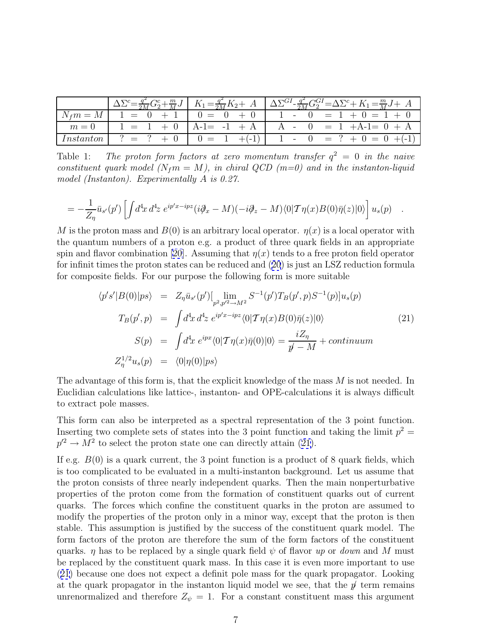<span id="page-7-0"></span>

|  | $\left[ \Delta \Sigma^c = \frac{q^2}{2M} G_2^c + \frac{m}{M} J \right] K_1 = \frac{q^2}{2M} K_2 + A \left[ \Delta \Sigma^{GI} - \frac{q^2}{2M} G_2^{GI} = \Delta \Sigma^c + K_1 = \frac{m}{M} J + A \right]$ |
|--|--------------------------------------------------------------------------------------------------------------------------------------------------------------------------------------------------------------|
|  |                                                                                                                                                                                                              |
|  | $m=0$   1 = 1 + 0   A-1= -1 + A   A - 0 = 1 + A-1= 0 + A                                                                                                                                                     |
|  |                                                                                                                                                                                                              |

Table 1: The proton form factors at zero momentum transfer  $q^2 = 0$  in the naive constituent quark model ( $N_f m = M$ ), in chiral QCD (m=0) and in the instanton-liquid model (Instanton). Experimentally A is 0.27.

$$
= -\frac{1}{Z_{\eta}} \bar{u}_{s'}(p') \left[ \int d^4x \, d^4z \, e^{ip'x - ipz} (i\partial_x - M)(-i\partial_z - M)\langle 0|T\eta(x)B(0)\bar{\eta}(z)|0\rangle \right] u_s(p) \quad .
$$

M is the proton mass and  $B(0)$  is an arbitrary local operator.  $\eta(x)$  is a local operator with the quantum numbers of a proton e.g. a product of three quark fields in an appropriate spin and flavor combination [\[20\]](#page-13-0). Assuming that  $\eta(x)$  tends to a free proton field operator for infinit times the proton states can be reduced and ([20](#page-6-0)) is just an LSZ reduction formula for composite fields. For our purpose the following form is more suitable

$$
\langle p's'|B(0)|ps\rangle = Z_{\eta}\bar{u}_{s'}(p')[\lim_{p^2,p'^2 \to M^2} S^{-1}(p')T_B(p',p)S^{-1}(p)]u_s(p)
$$
  
\n
$$
T_B(p',p) = \int d^4x \, d^4z \, e^{ip'x-ipz}\langle 0|\mathcal{T}\eta(x)B(0)\bar{\eta}(z)|0\rangle
$$
  
\n
$$
S(p) = \int d^4x \, e^{ipx}\langle 0|\mathcal{T}\eta(x)\bar{\eta}(0)|0\rangle = \frac{iZ_{\eta}}{p-M} + \text{continuum}
$$
  
\n
$$
Z_{\eta}^{1/2}u_s(p) = \langle 0|\eta(0)|ps\rangle
$$
\n(21)

The advantage of this form is, that the explicit knowledge of the mass M is not needed. In Euclidian calculations like lattice-, instanton- and OPE-calculations it is always difficult to extract pole masses.

This form can also be interpreted as a spectral representation of the 3 point function. Inserting two complete sets of states into the 3 point function and taking the limit  $p^2 =$  $p'^2 \to M^2$  to select the proton state one can directly attain (21).

If e.g.  $B(0)$  is a quark current, the 3 point function is a product of 8 quark fields, which is too complicated to be evaluated in a multi-instanton background. Let us assume that the proton consists of three nearly independent quarks. Then the main nonperturbative properties of the proton come from the formation of constituent quarks out of current quarks. The forces which confine the constituent quarks in the proton are assumed to modify the properties of the proton only in a minor way, except that the proton is then stable. This assumption is justified by the success of the constituent quark model. The form factors of the proton are therefore the sum of the form factors of the constituent quarks.  $\eta$  has to be replaced by a single quark field  $\psi$  of flavor up or *down* and M must be replaced by the constituent quark mass. In this case it is even more important to use (21) because one does not expect a definit pole mass for the quark propagator. Looking at the quark propagator in the instanton liquid model we see, that the  $p'$  term remains unrenormalized and therefore  $Z_{\psi} = 1$ . For a constant constituent mass this argument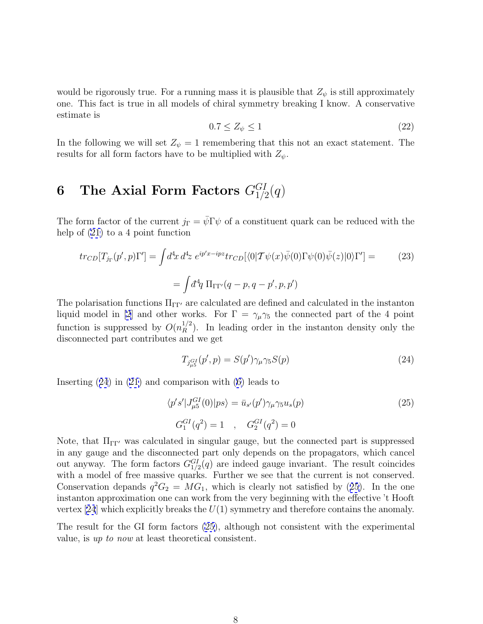<span id="page-8-0"></span>would be rigorously true. For a running mass it is plausible that  $Z_{\psi}$  is still approximately one. This fact is true in all models of chiral symmetry breaking I know. A conservative estimate is

$$
0.7 \le Z_{\psi} \le 1\tag{22}
$$

In the following we will set  $Z_{\psi} = 1$  remembering that this not an exact statement. The results for all form factors have to be multiplied with  $Z_{\psi}$ .

# $6$  The Axial Form Factors  $G_{1/2}^{GI}(q)$

The form factor of the current  $j_{\Gamma} = \bar{\psi} \Gamma \psi$  of a constituent quark can be reduced with the help of [\(21\)](#page-7-0) to a 4 point function

$$
tr_{CD}[T_{j_{\Gamma}}(p',p)\Gamma'] = \int d^4x \, d^4z \, e^{ip'x - ipz} tr_{CD}[\langle 0|\mathcal{T}\psi(x)\bar{\psi}(0)\Gamma\psi(0)\bar{\psi}(z)|0\rangle\Gamma'] =
$$
\n
$$
= \int d^4q \, \Pi_{\Gamma\Gamma'}(q-p,q-p',p,p')
$$
\n(23)

The polarisation functions  $\Pi_{\Gamma\Gamma'}$  are calculated are defined and calculated in the instanton liquid model in [\[2](#page-13-0)] and other works. For  $\Gamma = \gamma_{\mu} \gamma_5$  the connected part of the 4 point function is suppressed by  $O(n_R^{1/2})$ . In leading order in the instanton density only the disconnected part contributes and we get

$$
T_{j_{\mu 5}^{GI}}(p',p) = S(p')\gamma_{\mu}\gamma_5 S(p) \tag{24}
$$

Inserting (24) in [\(21\)](#page-7-0) and comparison with [\(6\)](#page-3-0) leads to

$$
\langle p's' | J_{\mu 5}^{GI}(0) | ps \rangle = \bar{u}_{s'}(p') \gamma_{\mu} \gamma_5 u_s(p)
$$
\n
$$
G_1^{GI}(q^2) = 1 \quad , \quad G_2^{GI}(q^2) = 0
$$
\n(25)

Note, that  $\Pi_{\Gamma\Gamma'}$  was calculated in singular gauge, but the connected part is suppressed in any gauge and the disconnected part only depends on the propagators, which cancel out anyway. The form factors  $G_{1/2}^{GI}(q)$  are indeed gauge invariant. The result coincides with a model of free massive quarks. Further we see that the current is not conserved. Conservation depands  $q^2G_2 = MG_1$ , which is clearly not satisfied by (25). In the one instanton approximation one can work from the very beginning with the effective 't Hooft vertex [[24](#page-14-0)] which explicitly breaks the  $U(1)$  symmetry and therefore contains the anomaly.

The result for the GI form factors (25), although not consistent with the experimental value, is up to now at least theoretical consistent.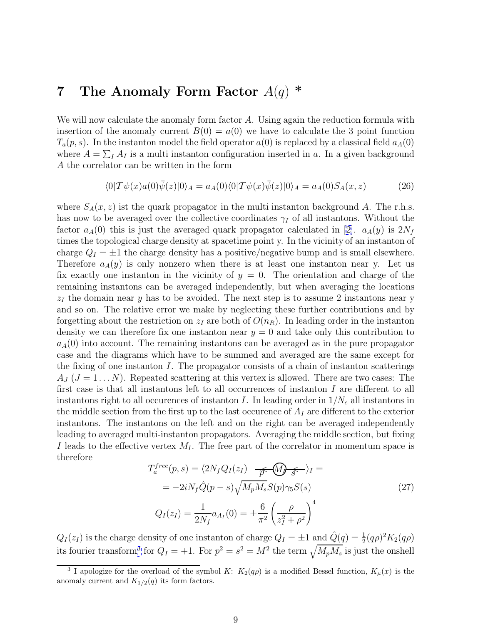#### <span id="page-9-0"></span>**7 The Anomaly Form Factor** A(q) **\***

We will now calculate the anomaly form factor  $A$ . Using again the reduction formula with insertion of the anomaly current  $B(0) = a(0)$  we have to calculate the 3 point function  $T_a(p, s)$ . In the instanton model the field operator  $a(0)$  is replaced by a classical field  $a_A(0)$ where  $A = \sum_I A_I$  is a multi instanton configuration inserted in a. In a given background A the correlator can be written in the form

$$
\langle 0|\mathcal{T}\psi(x)a(0)\bar{\psi}(z)|0\rangle_A = a_A(0)\langle 0|\mathcal{T}\psi(x)\bar{\psi}(z)|0\rangle_A = a_A(0)S_A(x,z)
$$
(26)

where  $S_A(x, z)$  ist the quark propagator in the multi instanton background A. The r.h.s. has now to be averaged over the collective coordinates  $\gamma_I$  of all instantons. Without the factor  $a_A(0)$  this is just the averaged quark propagator calculated in [[2\]](#page-13-0).  $a_A(y)$  is  $2N_f$ times the topological charge density at spacetime point y. In the vicinity of an instanton of charge  $Q_I = \pm 1$  the charge density has a positive/negative bump and is small elsewhere. Therefore  $a_A(y)$  is only nonzero when there is at least one instanton near y. Let us fix exactly one instanton in the vicinity of  $y = 0$ . The orientation and charge of the remaining instantons can be averaged independently, but when averaging the locations  $z_I$  the domain near y has to be avoided. The next step is to assume 2 instantons near y and so on. The relative error we make by neglecting these further contributions and by forgetting about the restriction on  $z_I$  are both of  $O(n_R)$ . In leading order in the instanton density we can therefore fix one instanton near  $y = 0$  and take only this contribution to  $a_A(0)$  into account. The remaining instantons can be averaged as in the pure propagator case and the diagrams which have to be summed and averaged are the same except for the fixing of one instanton  $I$ . The propagator consists of a chain of instanton scatterings  $A_J (J = 1 \ldots N)$ . Repeated scattering at this vertex is allowed. There are two cases: The first case is that all instantons left to all occurrences of instanton I are different to all instantons right to all occurences of instanton I. In leading order in  $1/N_c$  all instantons in the middle section from the first up to the last occurence of  $A_I$  are different to the exterior instantons. The instantons on the left and on the right can be averaged independently leading to averaged multi-instanton propagators. Averaging the middle section, but fixing I leads to the effective vertex  $M<sub>I</sub>$ . The free part of the correlator in momentum space is therefore

$$
T_a^{free}(p, s) = \langle 2N_f Q_I(z_I) \frac{\partial}{\partial \overline{z}} \rangle_I =
$$
  
=  $-2iN_f \hat{Q}(p - s) \sqrt{M_p M_s} S(p) \gamma_5 S(s)$  (27)  

$$
Q_I(z_I) = \frac{1}{2N_f} a_{A_I}(0) = \pm \frac{6}{\pi^2} \left(\frac{\rho}{z_I^2 + \rho^2}\right)^4
$$

 $Q_I(z_I)$  is the charge density of one instanton of charge  $Q_I = \pm 1$  and  $\hat{Q}(q) = \frac{1}{2}(q\rho)^2 K_2(q\rho)$ its fourier transform<sup>3</sup> for  $Q_I = +1$ . For  $p^2 = s^2 = M^2$  the term  $\sqrt{M_p M_s}$  is just the onshell

<sup>&</sup>lt;sup>3</sup> I apologize for the overload of the symbol K:  $K_2(q\rho)$  is a modified Bessel function,  $K_\mu(x)$  is the anomaly current and  $K_{1/2}(q)$  its form factors.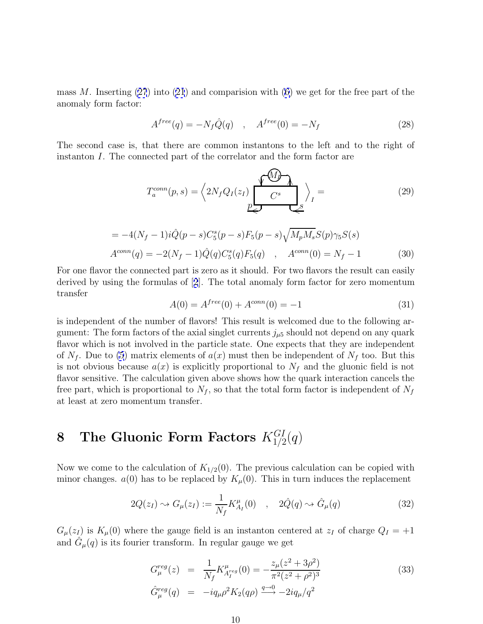<span id="page-10-0"></span>mass M. Inserting  $(27)$  $(27)$  into  $(21)$  $(21)$  and comparision with  $(6)$  $(6)$  we get for the free part of the anomaly form factor:

$$
A^{free}(q) = -N_f \hat{Q}(q) \quad , \quad A^{free}(0) = -N_f \tag{28}
$$

The second case is, that there are common instantons to the left and to the right of instanton I. The connected part of the correlator and the form factor are

$$
T_a^{conn}(p,s) = \left\langle 2N_f Q_I(z_I) \underbrace{V \underbrace{M} \sum_{C^s} \right\rangle_I = \left\langle 29 \right\rangle
$$

 

$$
= -4(N_f - 1)i\hat{Q}(p - s)C_5^s(p - s)F_5(p - s)\sqrt{M_pM_s}S(p)\gamma_5S(s)
$$
  
\n
$$
A^{conn}(q) = -2(N_f - 1)\hat{Q}(q)C_5^s(q)F_5(q) , A^{conn}(0) = N_f - 1
$$
\n(30)

For one flavor the connected part is zero as it should. For two flavors the result can easily derived by using the formulas of [[2](#page-13-0)]. The total anomaly form factor for zero momentum transfer

$$
A(0) = A^{free}(0) + A^{conn}(0) = -1
$$
\n(31)

is independent of the number of flavors! This result is welcomed due to the following argument: The form factors of the axial singlet currents  $j_{\mu 5}$  should not depend on any quark flavor which is not involved in the particle state. One expects that they are independent of  $N_f$ . Due to [\(5](#page-3-0)) matrix elements of  $a(x)$  must then be independent of  $N_f$  too. But this is not obvious because  $a(x)$  is explicitly proportional to  $N_f$  and the gluonic field is not flavor sensitive. The calculation given above shows how the quark interaction cancels the free part, which is proportional to  $N_f$ , so that the total form factor is independent of  $N_f$ at least at zero momentum transfer.

# **8** The Gluonic Form Factors  $K_{1/2}^{GI}(q)$

Now we come to the calculation of  $K_{1/2}(0)$ . The previous calculation can be copied with minor changes.  $a(0)$  has to be replaced by  $K_\mu(0)$ . This in turn induces the replacement

$$
2Q(z_I) \rightsquigarrow G_\mu(z_I) := \frac{1}{N_f} K_{A_I}^\mu(0) \quad , \quad 2\hat{Q}(q) \rightsquigarrow \hat{G}_\mu(q) \tag{32}
$$

 $G_{\mu}(z_I)$  is  $K_{\mu}(0)$  where the gauge field is an instanton centered at  $z_I$  of charge  $Q_I = +1$ and  $G_{\mu}(q)$  is its fourier transform. In regular gauge we get

$$
G_{\mu}^{reg}(z) = \frac{1}{N_f} K_{A_I^{reg}}^{\mu}(0) = -\frac{z_{\mu}(z^2 + 3\rho^2)}{\pi^2 (z^2 + \rho^2)^3}
$$
(33)  

$$
\hat{G}_{\mu}^{reg}(q) = -iq_{\mu}\rho^2 K_2(q\rho) \xrightarrow{q \to 0} -2iq_{\mu}/q^2
$$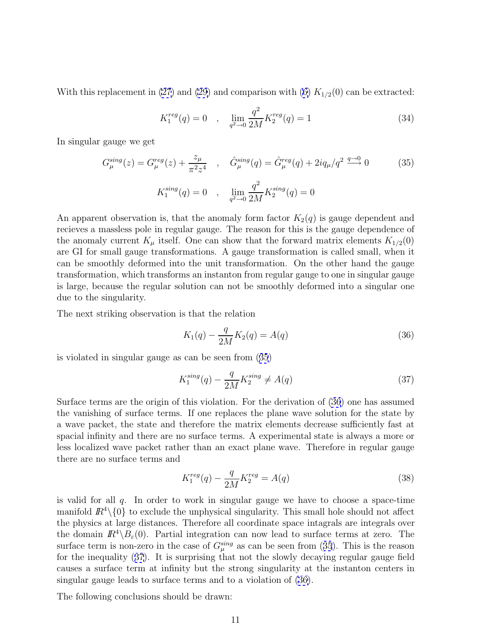<span id="page-11-0"></span>With this replacement in [\(27\)](#page-9-0) and [\(29\)](#page-10-0) and comparison with [\(6\)](#page-3-0)  $K_{1/2}(0)$  can be extracted:

$$
K_1^{reg}(q) = 0 \quad , \quad \lim_{q^2 \to 0} \frac{q^2}{2M} K_2^{reg}(q) = 1 \tag{34}
$$

In singular gauge we get

$$
G_{\mu}^{sing}(z) = G_{\mu}^{reg}(z) + \frac{z_{\mu}}{\pi^2 z^4} , \quad \hat{G}_{\mu}^{sing}(q) = \hat{G}_{\mu}^{reg}(q) + 2iq_{\mu}/q^2 \stackrel{q \to 0}{\longrightarrow} 0
$$
 (35)  

$$
K_1^{sing}(q) = 0 , \quad \lim_{q^2 \to 0} \frac{q^2}{2M} K_2^{sing}(q) = 0
$$

An apparent observation is, that the anomaly form factor  $K_2(q)$  is gauge dependent and recieves a massless pole in regular gauge. The reason for this is the gauge dependence of the anomaly current  $K_{\mu}$  itself. One can show that the forward matrix elements  $K_{1/2}(0)$ are GI for small gauge transformations. A gauge transformation is called small, when it can be smoothly deformed into the unit transformation. On the other hand the gauge transformation, which transforms an instanton from regular gauge to one in singular gauge is large, because the regular solution can not be smoothly deformed into a singular one due to the singularity.

The next striking observation is that the relation

$$
K_1(q) - \frac{q}{2M} K_2(q) = A(q)
$$
\n(36)

is violated in singular gauge as can be seen from (35)

$$
K_1^{sing}(q) - \frac{q}{2M} K_2^{sing} \neq A(q)
$$
\n
$$
(37)
$$

Surface terms are the origin of this violation. For the derivation of (36) one has assumed the vanishing of surface terms. If one replaces the plane wave solution for the state by a wave packet, the state and therefore the matrix elements decrease sufficiently fast at spacial infinity and there are no surface terms. A experimental state is always a more or less localized wave packet rather than an exact plane wave. Therefore in regular gauge there are no surface terms and

$$
K_1^{reg}(q) - \frac{q}{2M} K_2^{reg} = A(q)
$$
\n(38)

is valid for all q. In order to work in singular gauge we have to choose a space-time manifold  $\mathbb{R}^4\setminus\{0\}$  to exclude the unphysical singularity. This small hole should not affect the physics at large distances. Therefore all coordinate space intagrals are integrals over the domain  $\mathbb{R}^4\setminus B_\varepsilon(0)$ . Partial integration can now lead to surface terms at zero. The surface term is non-zero in the case of  $G_{\mu}^{sing}$  as can be seen from (35). This is the reason for the inequality (37). It is surprising that not the slowly decaying regular gauge field causes a surface term at infinity but the strong singularity at the instanton centers in singular gauge leads to surface terms and to a violation of (36).

The following conclusions should be drawn: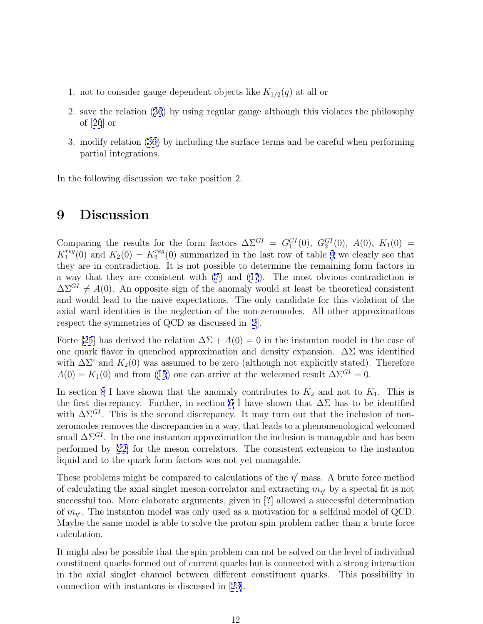- <span id="page-12-0"></span>1. not to consider gauge dependent objects like  $K_{1/2}(q)$  at all or
- 2. save the relation ([36](#page-11-0)) by using regular gauge although this violates the philosophy of [[26](#page-14-0)] or
- 3. modify relation [\(36\)](#page-11-0) by including the surface terms and be careful when performing partial integrations.

In the following discussion we take position 2.

### **9 Discussion**

Comparing the results for the form factors  $\Delta \Sigma^{GI} = G_1^{GI}(0)$ ,  $G_2^{GI}(0)$ ,  $A(0)$ ,  $K_1(0) =$  $K_1^{reg}(0)$  and  $K_2(0) = K_2^{reg}(0)$  summarized in the last row of table [4](#page-6-0) we clearly see that they are in contradiction. It is not possible to determine the remaining form factors in a way that they are consistent with [\(7](#page-3-0)) and ([17](#page-6-0)). The most obvious contradiction is  $\Delta\Sigma^{GI} \neq A(0)$ . An opposite sign of the anomaly would at least be theoretical consistent and would lead to the naive expectations. The only candidate for this violation of the axial ward identities is the neglection of the non-zeromodes. All other approximations respect the symmetries of QCD as discussed in [[2\]](#page-13-0).

Forte [\[25](#page-14-0)] has derived the relation  $\Delta\Sigma + A(0) = 0$  in the instanton model in the case of one quark flavor in quenched approximation and density expansion.  $\Delta\Sigma$  was identified with  $\Delta\Sigma^c$  and  $K_2(0)$  was assumed to be zero (although not explicitly stated). Therefore  $A(0) = K_1(0)$  and from ([15](#page-5-0)) one can arrive at the welcomed result  $\Delta \Sigma^{GI} = 0$ .

In section [8](#page-10-0) I have shown that the anomaly contributes to  $K_2$  and not to  $K_1$ . This is the first discrepancy. Further, in section [6](#page-8-0) I have shown that  $\Delta\Sigma$  has to be identified with  $\Delta\Sigma^{GI}$ . This is the second discrepancy. It may turn out that the inclusion of nonzeromodes removes the discrepancies in a way, that leads to a phenomenological welcomed small  $\Delta\Sigma^{GI}$ . In the one instanton approximation the inclusion is managable and has been performed by [[22\]](#page-13-0) for the meson correlators. The consistent extension to the instanton liquid and to the quark form factors was not yet managable.

These problems might be compared to calculations of the  $\eta'$  mass. A brute force method of calculating the axial singlet meson correlator and extracting  $m_{\eta'}$  by a spectal fit is not successful too. More elaborate arguments, given in [**?**] allowed a successful determination of  $m_{\eta'}$ . The instanton model was only used as a motivation for a selfdual model of QCD. Maybe the same model is able to solve the proton spin problem rather than a brute force calculation.

It might also be possible that the spin problem can not be solved on the level of individual constituent quarks formed out of current quarks but is connected with a strong interaction in the axial singlet channel between different constituent quarks. This possibility in connection with instantons is discussed in [\[23\]](#page-14-0).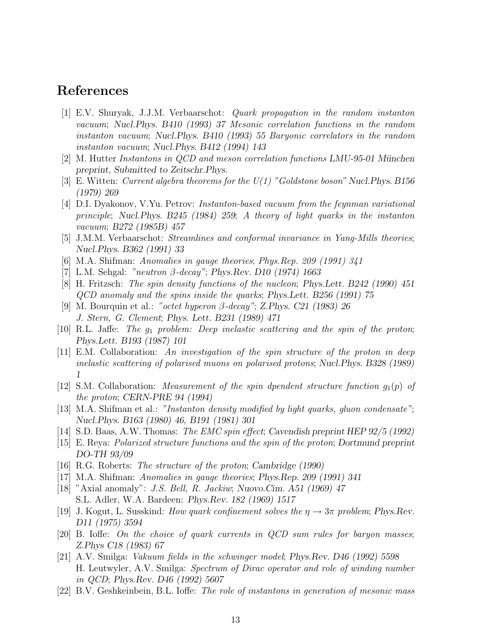#### <span id="page-13-0"></span>**References**

- [1] E.V. Shuryak, J.J.M. Verbaarschot: Quark propagation in the random instanton vacuum; *Nucl.Phys. B410 (1993) 37* Mesonic correlation functions in the random instanton vacuum; *Nucl.Phys. B410 (1993) 55* Baryonic correlators in the random instanton vacuum; *Nucl.Phys. B412 (1994) 143*
- [2] M. Hutter Instantons in QCD and meson correlation functions *LMU-95-01 M¨unchen preprint, Submitted to Zeitschr.Phys.*
- [3] E. Witten: Current algebra theorems for the U(1) "Goldstone boson" *Nucl.Phys. B156 (1979) 269*
- [4] D.I. Dyakonov, V.Yu. Petrov: Instanton-based vacuum from the feynman variational principle; *Nucl.Phys. B245 (1984) 259*; A theory of light quarks in the instanton vacuum; *B272 (1985B) 457*
- [5] J.M.M. Verbaarschot: Streamlines and conformal invariance in Yang-Mills theories; *Nucl.Phys. B362 (1991) 33*
- [6] M.A. Shifman: Anomalies in gauge theories; Phys.Rep. 209 (1991) 341
- [7] L.M. Sehgal: "neutron β-decay"; *Phys.Rev. D10 (1974) 1663*
- [8] H. Fritzsch: The spin density functions of the nucleon; *Phys.Lett. B242 (1990) 451* QCD anomaly and the spins inside the quarks; *Phys.Lett. B256 (1991) 75*
- [9] M. Bourquin et al.: "octet hyperon β-decay"; *Z.Phys. C21 (1983) 26* J. Stern, G. Clement; *Phys. Lett. B231 (1989) 471*
- [10] R.L. Jaffe: The  $q_1$  problem: Deep inelastic scattering and the spin of the proton; *Phys.Lett. B193 (1987) 101*
- [11] E.M. Collaboration: An investigation of the spin structure of the proton in deep inelastic scattering of polarised muons on polarised protons; *Nucl.Phys. B328 (1989) 1*
- [12] S.M. Collaboration: *Measurement of the spin dpendent structure function*  $q_1(p)$  of the proton; *CERN-PRE 94 (1994)*
- [13] M.A. Shifman et al.: "Instanton density modified by light quarks, gluon condensate"; *Nucl.Phys. B163 (1980) 46, B191 (1981) 301*
- [14] S.D. Baas, A.W. Thomas: The EMC spin effect; *Cavendish preprint HEP 92/5 (1992)*
- [15] E. Reya: Polarized structure functions and the spin of the proton; *Dortmund preprint DO-TH 93/09*
- [16] R.G. Roberts: The structure of the proton; *Cambridge (1990)*
- [17] M.A. Shifman: Anomalies in gauge theories; *Phys.Rep. 209 (1991) 341*
- [18] "Axial anomaly": J.S. Bell, R. Jackiw; *Nuovo.Cim. A51 (1969) 47* S.L. Adler, W.A. Bardeen: *Phys.Rev. 182 (1969) 1517*
- [19] J. Kogut, L. Susskind: *How quark confinement solves the*  $\eta \rightarrow 3\pi$  problem; *Phys.Rev. D11 (1975) 3594*
- [20] B. Ioffe: On the choice of quark currents in QCD sum rules for baryon masses; *Z.Phys C18 (1983) 67*
- [21] A.V. Smilga: Vakuum fields in the schwinger model; *Phys.Rev. D46 (1992) 5598* H. Leutwyler, A.V. Smilga: Spectrum of Dirac operator and role of winding number in QCD; *Phys.Rev. D46 (1992) 5607*
- [22] B.V. Geshkeinbein, B.L. Ioffe: The role of instantons in generation of mesonic mass